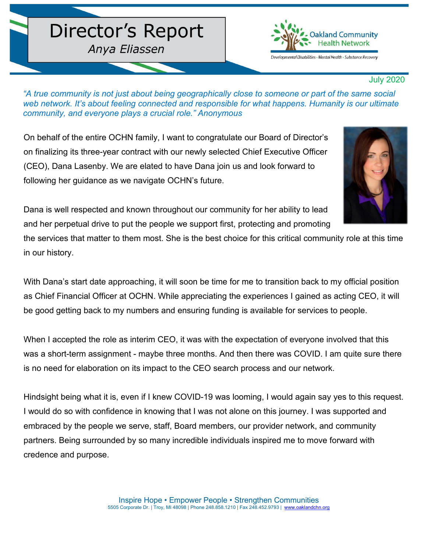## Director's Report

Anya Eliassen



## July 2020

*"A true community is not just about being geographically close to someone or part of the same social web network. It's about feeling connected and responsible for what happens. Humanity is our ultimate community, and everyone plays a crucial role." Anonymous* 

On behalf of the entire OCHN family, I want to congratulate our Board of Director's on finalizing its three-year contract with our newly selected Chief Executive Officer (CEO), Dana Lasenby. We are elated to have Dana join us and look forward to following her guidance as we navigate OCHN's future.



Dana is well respected and known throughout our community for her ability to lead and her perpetual drive to put the people we support first, protecting and promoting

the services that matter to them most. She is the best choice for this critical community role at this time in our history.

With Dana's start date approaching, it will soon be time for me to transition back to my official position as Chief Financial Officer at OCHN. While appreciating the experiences I gained as acting CEO, it will be good getting back to my numbers and ensuring funding is available for services to people.

When I accepted the role as interim CEO, it was with the expectation of everyone involved that this was a short-term assignment - maybe three months. And then there was COVID. I am quite sure there is no need for elaboration on its impact to the CEO search process and our network.

Hindsight being what it is, even if I knew COVID-19 was looming, I would again say yes to this request. I would do so with confidence in knowing that I was not alone on this journey. I was supported and embraced by the people we serve, staff, Board members, our provider network, and community partners. Being surrounded by so many incredible individuals inspired me to move forward with credence and purpose.